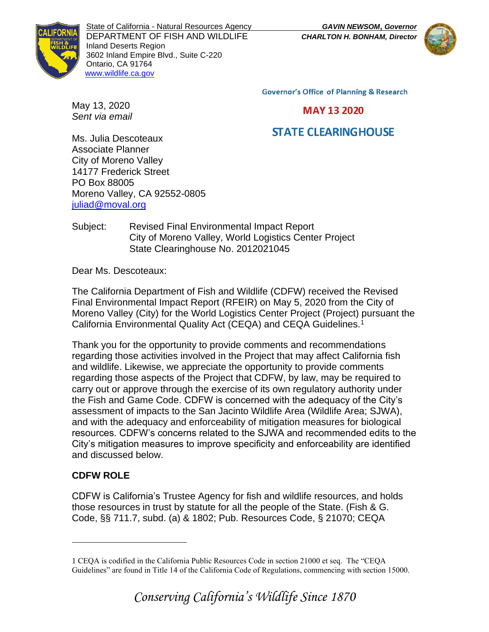State of California - Natural Resources Agency *GAVIN NEWSOM***,** *Governor* DEPARTMENT OF FISH AND WILDLIFE *CHARLTON H. BONHAM, Director* Inland Deserts Region 3602 Inland Empire Blvd., Suite C-220 Ontario, CA 91764 [www.wildlife.ca.gov](http://www.wildlife.ca.gov/)



**Governor's Office of Planning & Research** 

**MAY 13 2020** 

# **STATE CLEARINGHOUSE**

Ms. Julia Descoteaux Associate Planner City of Moreno Valley 14177 Frederick Street PO Box 88005 Moreno Valley, CA 92552-0805 [juliad@moval.org](mailto:juliad@moval.org)

May 13, 2020 *Sent via email*

### Subject: Revised Final Environmental Impact Report City of Moreno Valley, World Logistics Center Project State Clearinghouse No. 2012021045

Dear Ms. Descoteaux:

The California Department of Fish and Wildlife (CDFW) received the Revised Final Environmental Impact Report (RFEIR) on May 5, 2020 from the City of Moreno Valley (City) for the World Logistics Center Project (Project) pursuant the California Environmental Quality Act (CEQA) and CEQA Guidelines.<sup>1</sup>

Thank you for the opportunity to provide comments and recommendations regarding those activities involved in the Project that may affect California fish and wildlife. Likewise, we appreciate the opportunity to provide comments regarding those aspects of the Project that CDFW, by law, may be required to carry out or approve through the exercise of its own regulatory authority under the Fish and Game Code. CDFW is concerned with the adequacy of the City's assessment of impacts to the San Jacinto Wildlife Area (Wildlife Area; SJWA), and with the adequacy and enforceability of mitigation measures for biological resources. CDFW's concerns related to the SJWA and recommended edits to the City's mitigation measures to improve specificity and enforceability are identified and discussed below.

## **CDFW ROLE**

CDFW is California's Trustee Agency for fish and wildlife resources, and holds those resources in trust by statute for all the people of the State. (Fish & G. Code, §§ 711.7, subd. (a) & 1802; Pub. Resources Code, § 21070; CEQA

<sup>1</sup> CEQA is codified in the California Public Resources Code in section 21000 et seq. The "CEQA Guidelines" are found in Title 14 of the California Code of Regulations, commencing with section 15000.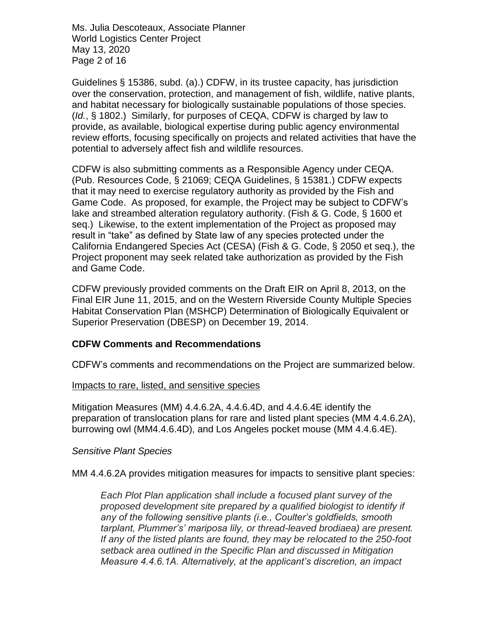Ms. Julia Descoteaux, Associate Planner World Logistics Center Project May 13, 2020 Page 2 of 16

Guidelines § 15386, subd. (a).) CDFW, in its trustee capacity, has jurisdiction over the conservation, protection, and management of fish, wildlife, native plants, and habitat necessary for biologically sustainable populations of those species. (*Id.*, § 1802.) Similarly, for purposes of CEQA, CDFW is charged by law to provide, as available, biological expertise during public agency environmental review efforts, focusing specifically on projects and related activities that have the potential to adversely affect fish and wildlife resources.

CDFW is also submitting comments as a Responsible Agency under CEQA. (Pub. Resources Code, § 21069; CEQA Guidelines, § 15381.) CDFW expects that it may need to exercise regulatory authority as provided by the Fish and Game Code. As proposed, for example, the Project may be subject to CDFW's lake and streambed alteration regulatory authority. (Fish & G. Code, § 1600 et seq.) Likewise, to the extent implementation of the Project as proposed may result in "take" as defined by State law of any species protected under the California Endangered Species Act (CESA) (Fish & G. Code, § 2050 et seq.), the Project proponent may seek related take authorization as provided by the Fish and Game Code.

CDFW previously provided comments on the Draft EIR on April 8, 2013, on the Final EIR June 11, 2015, and on the Western Riverside County Multiple Species Habitat Conservation Plan (MSHCP) Determination of Biologically Equivalent or Superior Preservation (DBESP) on December 19, 2014.

### **CDFW Comments and Recommendations**

CDFW's comments and recommendations on the Project are summarized below.

#### Impacts to rare, listed, and sensitive species

Mitigation Measures (MM) 4.4.6.2A, 4.4.6.4D, and 4.4.6.4E identify the preparation of translocation plans for rare and listed plant species (MM 4.4.6.2A), burrowing owl (MM4.4.6.4D), and Los Angeles pocket mouse (MM 4.4.6.4E).

#### *Sensitive Plant Species*

MM 4.4.6.2A provides mitigation measures for impacts to sensitive plant species:

*Each Plot Plan application shall include a focused plant survey of the proposed development site prepared by a qualified biologist to identify if any of the following sensitive plants (i.e., Coulter's goldfields, smooth tarplant, Plummer's' mariposa lily, or thread-leaved brodiaea) are present. If any of the listed plants are found, they may be relocated to the 250-foot setback area outlined in the Specific Plan and discussed in Mitigation Measure 4.4.6.1A. Alternatively, at the applicant's discretion, an impact*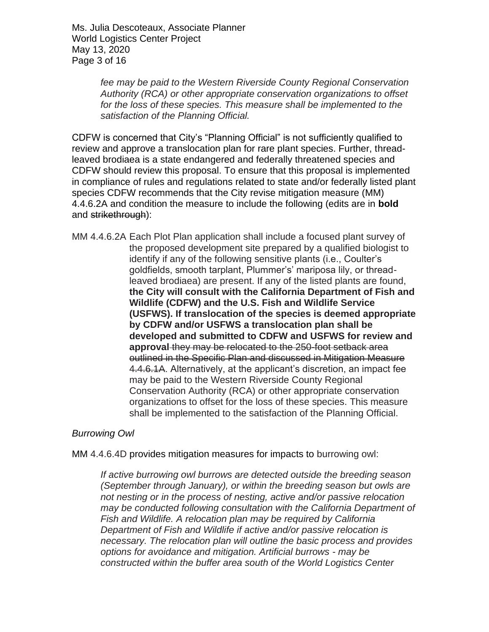Ms. Julia Descoteaux, Associate Planner World Logistics Center Project May 13, 2020 Page 3 of 16

> *fee may be paid to the Western Riverside County Regional Conservation Authority (RCA) or other appropriate conservation organizations to offset for the loss of these species. This measure shall be implemented to the satisfaction of the Planning Official.*

CDFW is concerned that City's "Planning Official" is not sufficiently qualified to review and approve a translocation plan for rare plant species. Further, threadleaved brodiaea is a state endangered and federally threatened species and CDFW should review this proposal. To ensure that this proposal is implemented in compliance of rules and regulations related to state and/or federally listed plant species CDFW recommends that the City revise mitigation measure (MM) 4.4.6.2A and condition the measure to include the following (edits are in **bold** and strikethrough):

MM 4.4.6.2A Each Plot Plan application shall include a focused plant survey of the proposed development site prepared by a qualified biologist to identify if any of the following sensitive plants (i.e., Coulter's goldfields, smooth tarplant, Plummer's' mariposa lily, or threadleaved brodiaea) are present. If any of the listed plants are found, **the City will consult with the California Department of Fish and Wildlife (CDFW) and the U.S. Fish and Wildlife Service (USFWS). If translocation of the species is deemed appropriate by CDFW and/or USFWS a translocation plan shall be developed and submitted to CDFW and USFWS for review and approval** they may be relocated to the 250-foot setback area outlined in the Specific Plan and discussed in Mitigation Measure 4.4.6.1A. Alternatively, at the applicant's discretion, an impact fee may be paid to the Western Riverside County Regional Conservation Authority (RCA) or other appropriate conservation organizations to offset for the loss of these species. This measure shall be implemented to the satisfaction of the Planning Official.

### *Burrowing Owl*

MM 4.4.6.4D provides mitigation measures for impacts to burrowing owl:

*If active burrowing owl burrows are detected outside the breeding season (September through January), or within the breeding season but owls are not nesting or in the process of nesting, active and/or passive relocation may be conducted following consultation with the California Department of Fish and Wildlife. A relocation plan may be required by California Department of Fish and Wildlife if active and/or passive relocation is necessary. The relocation plan will outline the basic process and provides options for avoidance and mitigation. Artificial burrows - may be constructed within the buffer area south of the World Logistics Center*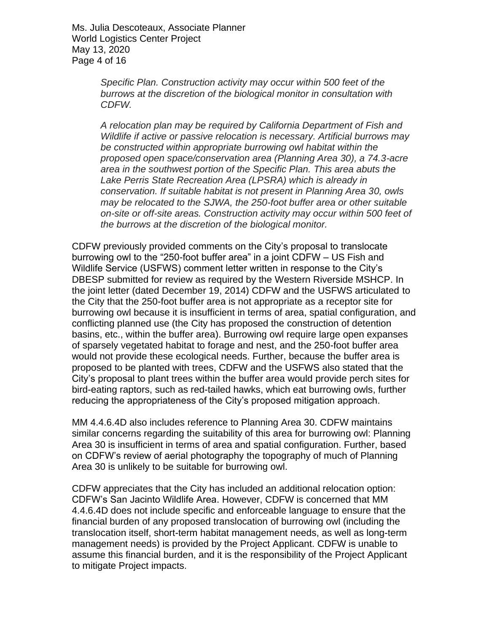Ms. Julia Descoteaux, Associate Planner World Logistics Center Project May 13, 2020 Page 4 of 16

> *Specific Plan. Construction activity may occur within 500 feet of the burrows at the discretion of the biological monitor in consultation with CDFW.*

*A relocation plan may be required by California Department of Fish and Wildlife if active or passive relocation is necessary. Artificial burrows may be constructed within appropriate burrowing owl habitat within the proposed open space/conservation area (Planning Area 30), a 74.3-acre area in the southwest portion of the Specific Plan. This area abuts the Lake Perris State Recreation Area (LPSRA) which is already in conservation. If suitable habitat is not present in Planning Area 30, owls may be relocated to the SJWA, the 250-foot buffer area or other suitable on-site or off-site areas. Construction activity may occur within 500 feet of the burrows at the discretion of the biological monitor.*

CDFW previously provided comments on the City's proposal to translocate burrowing owl to the "250-foot buffer area" in a joint CDFW – US Fish and Wildlife Service (USFWS) comment letter written in response to the City's DBESP submitted for review as required by the Western Riverside MSHCP. In the joint letter (dated December 19, 2014) CDFW and the USFWS articulated to the City that the 250-foot buffer area is not appropriate as a receptor site for burrowing owl because it is insufficient in terms of area, spatial configuration, and conflicting planned use (the City has proposed the construction of detention basins, etc., within the buffer area). Burrowing owl require large open expanses of sparsely vegetated habitat to forage and nest, and the 250-foot buffer area would not provide these ecological needs. Further, because the buffer area is proposed to be planted with trees, CDFW and the USFWS also stated that the City's proposal to plant trees within the buffer area would provide perch sites for bird-eating raptors, such as red-tailed hawks, which eat burrowing owls, further reducing the appropriateness of the City's proposed mitigation approach.

MM 4.4.6.4D also includes reference to Planning Area 30. CDFW maintains similar concerns regarding the suitability of this area for burrowing owl: Planning Area 30 is insufficient in terms of area and spatial configuration. Further, based on CDFW's review of aerial photography the topography of much of Planning Area 30 is unlikely to be suitable for burrowing owl.

CDFW appreciates that the City has included an additional relocation option: CDFW's San Jacinto Wildlife Area. However, CDFW is concerned that MM 4.4.6.4D does not include specific and enforceable language to ensure that the financial burden of any proposed translocation of burrowing owl (including the translocation itself, short-term habitat management needs, as well as long-term management needs) is provided by the Project Applicant. CDFW is unable to assume this financial burden, and it is the responsibility of the Project Applicant to mitigate Project impacts.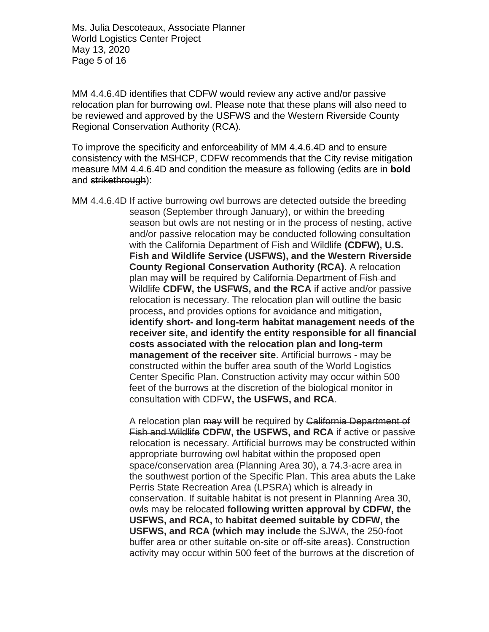Ms. Julia Descoteaux, Associate Planner World Logistics Center Project May 13, 2020 Page 5 of 16

MM 4.4.6.4D identifies that CDFW would review any active and/or passive relocation plan for burrowing owl. Please note that these plans will also need to be reviewed and approved by the USFWS and the Western Riverside County Regional Conservation Authority (RCA).

To improve the specificity and enforceability of MM 4.4.6.4D and to ensure consistency with the MSHCP, CDFW recommends that the City revise mitigation measure MM 4.4.6.4D and condition the measure as following (edits are in **bold** and strikethrough):

MM 4.4.6.4D If active burrowing owl burrows are detected outside the breeding season (September through January), or within the breeding season but owls are not nesting or in the process of nesting, active and/or passive relocation may be conducted following consultation with the California Department of Fish and Wildlife **(CDFW), U.S. Fish and Wildlife Service (USFWS), and the Western Riverside County Regional Conservation Authority (RCA)**. A relocation plan may **will** be required by California Department of Fish and Wildlife **CDFW, the USFWS, and the RCA** if active and/or passive relocation is necessary. The relocation plan will outline the basic process**,** and provides options for avoidance and mitigation**, identify short- and long-term habitat management needs of the receiver site, and identify the entity responsible for all financial costs associated with the relocation plan and long-term management of the receiver site**. Artificial burrows - may be constructed within the buffer area south of the World Logistics Center Specific Plan. Construction activity may occur within 500 feet of the burrows at the discretion of the biological monitor in consultation with CDFW**, the USFWS, and RCA**.

> A relocation plan may **will** be required by California Department of Fish and Wildlife **CDFW, the USFWS, and RCA** if active or passive relocation is necessary. Artificial burrows may be constructed within appropriate burrowing owl habitat within the proposed open space/conservation area (Planning Area 30), a 74.3-acre area in the southwest portion of the Specific Plan. This area abuts the Lake Perris State Recreation Area (LPSRA) which is already in conservation. If suitable habitat is not present in Planning Area 30, owls may be relocated **following written approval by CDFW, the USFWS, and RCA,** to **habitat deemed suitable by CDFW, the USFWS, and RCA (which may include** the SJWA, the 250-foot buffer area or other suitable on-site or off-site areas**)**. Construction activity may occur within 500 feet of the burrows at the discretion of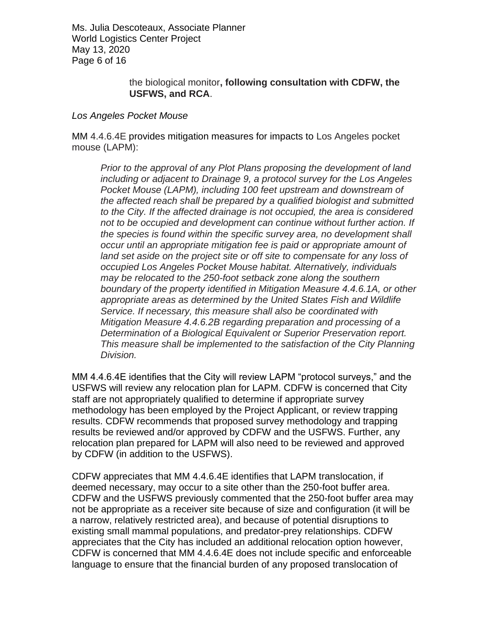Ms. Julia Descoteaux, Associate Planner World Logistics Center Project May 13, 2020 Page 6 of 16

> the biological monitor**, following consultation with CDFW, the USFWS, and RCA**.

#### *Los Angeles Pocket Mouse*

MM 4.4.6.4E provides mitigation measures for impacts to Los Angeles pocket mouse (LAPM):

*Prior to the approval of any Plot Plans proposing the development of land including or adjacent to Drainage 9, a protocol survey for the Los Angeles Pocket Mouse (LAPM), including 100 feet upstream and downstream of the affected reach shall be prepared by a qualified biologist and submitted to the City. If the affected drainage is not occupied, the area is considered not to be occupied and development can continue without further action. If the species is found within the specific survey area, no development shall occur until an appropriate mitigation fee is paid or appropriate amount of land set aside on the project site or off site to compensate for any loss of occupied Los Angeles Pocket Mouse habitat. Alternatively, individuals may be relocated to the 250-foot setback zone along the southern boundary of the property identified in Mitigation Measure 4.4.6.1A, or other appropriate areas as determined by the United States Fish and Wildlife Service. If necessary, this measure shall also be coordinated with Mitigation Measure 4.4.6.2B regarding preparation and processing of a Determination of a Biological Equivalent or Superior Preservation report. This measure shall be implemented to the satisfaction of the City Planning Division.*

MM 4.4.6.4E identifies that the City will review LAPM "protocol surveys," and the USFWS will review any relocation plan for LAPM. CDFW is concerned that City staff are not appropriately qualified to determine if appropriate survey methodology has been employed by the Project Applicant, or review trapping results. CDFW recommends that proposed survey methodology and trapping results be reviewed and/or approved by CDFW and the USFWS. Further, any relocation plan prepared for LAPM will also need to be reviewed and approved by CDFW (in addition to the USFWS).

CDFW appreciates that MM 4.4.6.4E identifies that LAPM translocation, if deemed necessary, may occur to a site other than the 250-foot buffer area. CDFW and the USFWS previously commented that the 250-foot buffer area may not be appropriate as a receiver site because of size and configuration (it will be a narrow, relatively restricted area), and because of potential disruptions to existing small mammal populations, and predator-prey relationships. CDFW appreciates that the City has included an additional relocation option however, CDFW is concerned that MM 4.4.6.4E does not include specific and enforceable language to ensure that the financial burden of any proposed translocation of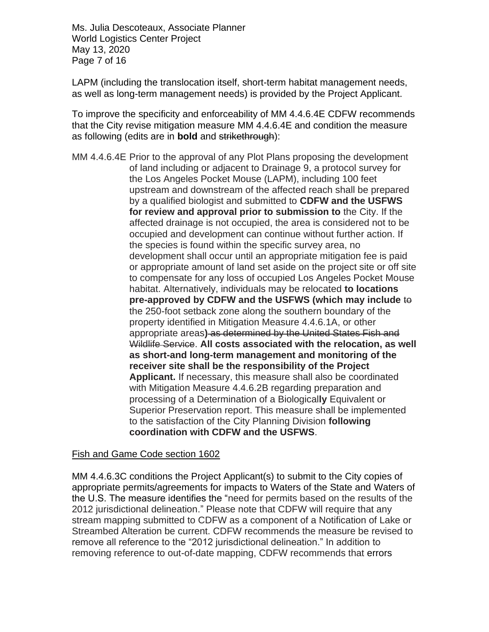Ms. Julia Descoteaux, Associate Planner World Logistics Center Project May 13, 2020 Page 7 of 16

LAPM (including the translocation itself, short-term habitat management needs, as well as long-term management needs) is provided by the Project Applicant.

To improve the specificity and enforceability of MM 4.4.6.4E CDFW recommends that the City revise mitigation measure MM 4.4.6.4E and condition the measure as following (edits are in **bold** and strikethrough):

MM 4.4.6.4E Prior to the approval of any Plot Plans proposing the development of land including or adjacent to Drainage 9, a protocol survey for the Los Angeles Pocket Mouse (LAPM), including 100 feet upstream and downstream of the affected reach shall be prepared by a qualified biologist and submitted to **CDFW and the USFWS for review and approval prior to submission to** the City. If the affected drainage is not occupied, the area is considered not to be occupied and development can continue without further action. If the species is found within the specific survey area, no development shall occur until an appropriate mitigation fee is paid or appropriate amount of land set aside on the project site or off site to compensate for any loss of occupied Los Angeles Pocket Mouse habitat. Alternatively, individuals may be relocated **to locations pre-approved by CDFW and the USFWS (which may include** to the 250-foot setback zone along the southern boundary of the property identified in Mitigation Measure 4.4.6.1A, or other appropriate areas**)** as determined by the United States Fish and Wildlife Service. **All costs associated with the relocation, as well as short-and long-term management and monitoring of the receiver site shall be the responsibility of the Project Applicant.** If necessary, this measure shall also be coordinated with Mitigation Measure 4.4.6.2B regarding preparation and processing of a Determination of a Biological**ly** Equivalent or Superior Preservation report. This measure shall be implemented to the satisfaction of the City Planning Division **following coordination with CDFW and the USFWS**.

### Fish and Game Code section 1602

MM 4.4.6.3C conditions the Project Applicant(s) to submit to the City copies of appropriate permits/agreements for impacts to Waters of the State and Waters of the U.S. The measure identifies the "need for permits based on the results of the 2012 jurisdictional delineation." Please note that CDFW will require that any stream mapping submitted to CDFW as a component of a Notification of Lake or Streambed Alteration be current. CDFW recommends the measure be revised to remove all reference to the "2012 jurisdictional delineation." In addition to removing reference to out-of-date mapping, CDFW recommends that errors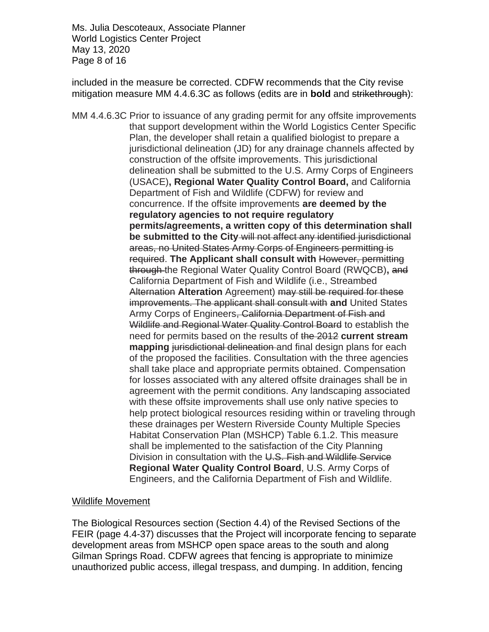Ms. Julia Descoteaux, Associate Planner World Logistics Center Project May 13, 2020 Page 8 of 16

included in the measure be corrected. CDFW recommends that the City revise mitigation measure MM 4.4.6.3C as follows (edits are in **bold** and strikethrough):

MM 4.4.6.3C Prior to issuance of any grading permit for any offsite improvements that support development within the World Logistics Center Specific Plan, the developer shall retain a qualified biologist to prepare a jurisdictional delineation (JD) for any drainage channels affected by construction of the offsite improvements. This jurisdictional delineation shall be submitted to the U.S. Army Corps of Engineers (USACE)**, Regional Water Quality Control Board,** and California Department of Fish and Wildlife (CDFW) for review and concurrence. If the offsite improvements **are deemed by the regulatory agencies to not require regulatory permits/agreements, a written copy of this determination shall be submitted to the City** will not affect any identified jurisdictional areas, no United States Army Corps of Engineers permitting is required. **The Applicant shall consult with** However, permitting through the Regional Water Quality Control Board (RWQCB)**,** and California Department of Fish and Wildlife (i.e., Streambed Alternation **Alteration** Agreement) may still be required for these improvements. The applicant shall consult with **and** United States Army Corps of Engineers, California Department of Fish and Wildlife and Regional Water Quality Control Board to establish the need for permits based on the results of the 2012 **current stream mapping** *jurisdictional delineation* and final design plans for each of the proposed the facilities. Consultation with the three agencies shall take place and appropriate permits obtained. Compensation for losses associated with any altered offsite drainages shall be in agreement with the permit conditions. Any landscaping associated with these offsite improvements shall use only native species to help protect biological resources residing within or traveling through these drainages per Western Riverside County Multiple Species Habitat Conservation Plan (MSHCP) Table 6.1.2. This measure shall be implemented to the satisfaction of the City Planning Division in consultation with the U.S. Fish and Wildlife Service **Regional Water Quality Control Board**, U.S. Army Corps of Engineers, and the California Department of Fish and Wildlife.

#### Wildlife Movement

The Biological Resources section (Section 4.4) of the Revised Sections of the FEIR (page 4.4-37) discusses that the Project will incorporate fencing to separate development areas from MSHCP open space areas to the south and along Gilman Springs Road. CDFW agrees that fencing is appropriate to minimize unauthorized public access, illegal trespass, and dumping. In addition, fencing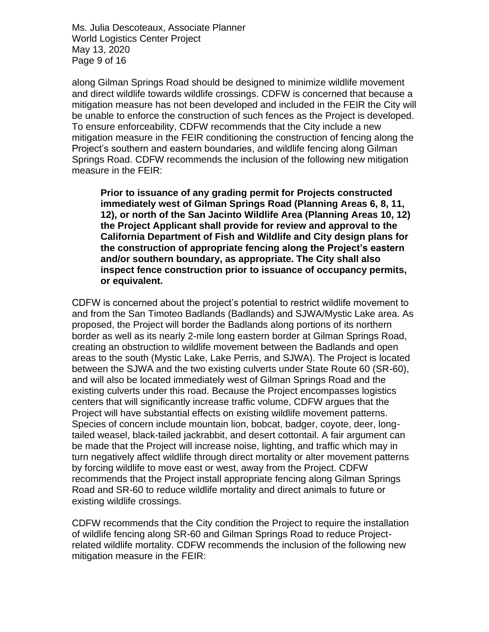Ms. Julia Descoteaux, Associate Planner World Logistics Center Project May 13, 2020 Page 9 of 16

along Gilman Springs Road should be designed to minimize wildlife movement and direct wildlife towards wildlife crossings. CDFW is concerned that because a mitigation measure has not been developed and included in the FEIR the City will be unable to enforce the construction of such fences as the Project is developed. To ensure enforceability, CDFW recommends that the City include a new mitigation measure in the FEIR conditioning the construction of fencing along the Project's southern and eastern boundaries, and wildlife fencing along Gilman Springs Road. CDFW recommends the inclusion of the following new mitigation measure in the FEIR:

**Prior to issuance of any grading permit for Projects constructed immediately west of Gilman Springs Road (Planning Areas 6, 8, 11, 12), or north of the San Jacinto Wildlife Area (Planning Areas 10, 12) the Project Applicant shall provide for review and approval to the California Department of Fish and Wildlife and City design plans for the construction of appropriate fencing along the Project's eastern and/or southern boundary, as appropriate. The City shall also inspect fence construction prior to issuance of occupancy permits, or equivalent.** 

CDFW is concerned about the project's potential to restrict wildlife movement to and from the San Timoteo Badlands (Badlands) and SJWA/Mystic Lake area. As proposed, the Project will border the Badlands along portions of its northern border as well as its nearly 2-mile long eastern border at Gilman Springs Road, creating an obstruction to wildlife movement between the Badlands and open areas to the south (Mystic Lake, Lake Perris, and SJWA). The Project is located between the SJWA and the two existing culverts under State Route 60 (SR-60), and will also be located immediately west of Gilman Springs Road and the existing culverts under this road. Because the Project encompasses logistics centers that will significantly increase traffic volume, CDFW argues that the Project will have substantial effects on existing wildlife movement patterns. Species of concern include mountain lion, bobcat, badger, coyote, deer, longtailed weasel, black-tailed jackrabbit, and desert cottontail. A fair argument can be made that the Project will increase noise, lighting, and traffic which may in turn negatively affect wildlife through direct mortality or alter movement patterns by forcing wildlife to move east or west, away from the Project. CDFW recommends that the Project install appropriate fencing along Gilman Springs Road and SR-60 to reduce wildlife mortality and direct animals to future or existing wildlife crossings.

CDFW recommends that the City condition the Project to require the installation of wildlife fencing along SR-60 and Gilman Springs Road to reduce Projectrelated wildlife mortality. CDFW recommends the inclusion of the following new mitigation measure in the FEIR: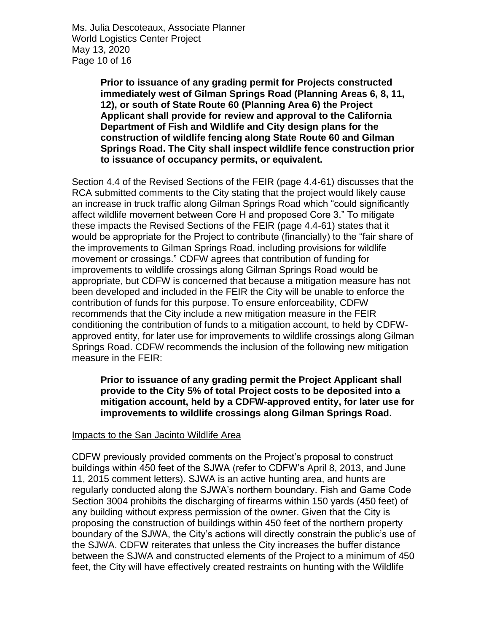Ms. Julia Descoteaux, Associate Planner World Logistics Center Project May 13, 2020 Page 10 of 16

> **Prior to issuance of any grading permit for Projects constructed immediately west of Gilman Springs Road (Planning Areas 6, 8, 11, 12), or south of State Route 60 (Planning Area 6) the Project Applicant shall provide for review and approval to the California Department of Fish and Wildlife and City design plans for the construction of wildlife fencing along State Route 60 and Gilman Springs Road. The City shall inspect wildlife fence construction prior to issuance of occupancy permits, or equivalent.**

Section 4.4 of the Revised Sections of the FEIR (page 4.4-61) discusses that the RCA submitted comments to the City stating that the project would likely cause an increase in truck traffic along Gilman Springs Road which "could significantly affect wildlife movement between Core H and proposed Core 3." To mitigate these impacts the Revised Sections of the FEIR (page 4.4-61) states that it would be appropriate for the Project to contribute (financially) to the "fair share of the improvements to Gilman Springs Road, including provisions for wildlife movement or crossings." CDFW agrees that contribution of funding for improvements to wildlife crossings along Gilman Springs Road would be appropriate, but CDFW is concerned that because a mitigation measure has not been developed and included in the FEIR the City will be unable to enforce the contribution of funds for this purpose. To ensure enforceability, CDFW recommends that the City include a new mitigation measure in the FEIR conditioning the contribution of funds to a mitigation account, to held by CDFWapproved entity, for later use for improvements to wildlife crossings along Gilman Springs Road. CDFW recommends the inclusion of the following new mitigation measure in the FEIR:

**Prior to issuance of any grading permit the Project Applicant shall provide to the City 5% of total Project costs to be deposited into a mitigation account, held by a CDFW-approved entity, for later use for improvements to wildlife crossings along Gilman Springs Road.** 

#### Impacts to the San Jacinto Wildlife Area

CDFW previously provided comments on the Project's proposal to construct buildings within 450 feet of the SJWA (refer to CDFW's April 8, 2013, and June 11, 2015 comment letters). SJWA is an active hunting area, and hunts are regularly conducted along the SJWA's northern boundary. Fish and Game Code Section 3004 prohibits the discharging of firearms within 150 yards (450 feet) of any building without express permission of the owner. Given that the City is proposing the construction of buildings within 450 feet of the northern property boundary of the SJWA, the City's actions will directly constrain the public's use of the SJWA. CDFW reiterates that unless the City increases the buffer distance between the SJWA and constructed elements of the Project to a minimum of 450 feet, the City will have effectively created restraints on hunting with the Wildlife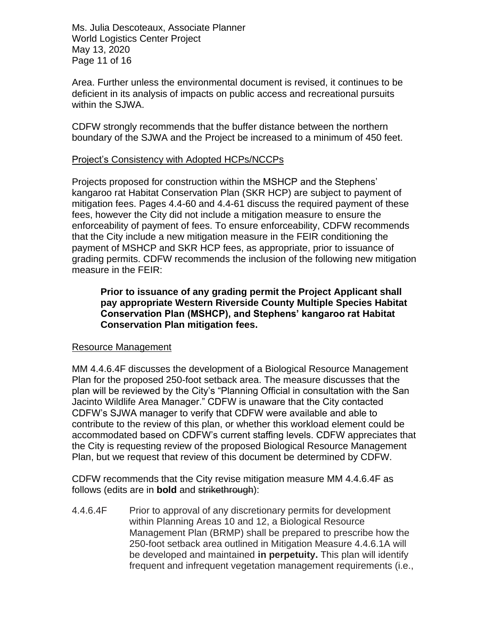Ms. Julia Descoteaux, Associate Planner World Logistics Center Project May 13, 2020 Page 11 of 16

Area. Further unless the environmental document is revised, it continues to be deficient in its analysis of impacts on public access and recreational pursuits within the SJWA.

CDFW strongly recommends that the buffer distance between the northern boundary of the SJWA and the Project be increased to a minimum of 450 feet.

#### Project's Consistency with Adopted HCPs/NCCPs

Projects proposed for construction within the MSHCP and the Stephens' kangaroo rat Habitat Conservation Plan (SKR HCP) are subject to payment of mitigation fees. Pages 4.4-60 and 4.4-61 discuss the required payment of these fees, however the City did not include a mitigation measure to ensure the enforceability of payment of fees. To ensure enforceability, CDFW recommends that the City include a new mitigation measure in the FEIR conditioning the payment of MSHCP and SKR HCP fees, as appropriate, prior to issuance of grading permits. CDFW recommends the inclusion of the following new mitigation measure in the FEIR:

#### **Prior to issuance of any grading permit the Project Applicant shall pay appropriate Western Riverside County Multiple Species Habitat Conservation Plan (MSHCP), and Stephens' kangaroo rat Habitat Conservation Plan mitigation fees.**

#### Resource Management

MM 4.4.6.4F discusses the development of a Biological Resource Management Plan for the proposed 250-foot setback area. The measure discusses that the plan will be reviewed by the City's "Planning Official in consultation with the San Jacinto Wildlife Area Manager." CDFW is unaware that the City contacted CDFW's SJWA manager to verify that CDFW were available and able to contribute to the review of this plan, or whether this workload element could be accommodated based on CDFW's current staffing levels. CDFW appreciates that the City is requesting review of the proposed Biological Resource Management Plan, but we request that review of this document be determined by CDFW.

CDFW recommends that the City revise mitigation measure MM 4.4.6.4F as follows (edits are in **bold** and strikethrough):

4.4.6.4F Prior to approval of any discretionary permits for development within Planning Areas 10 and 12, a Biological Resource Management Plan (BRMP) shall be prepared to prescribe how the 250-foot setback area outlined in Mitigation Measure 4.4.6.1A will be developed and maintained **in perpetuity.** This plan will identify frequent and infrequent vegetation management requirements (i.e.,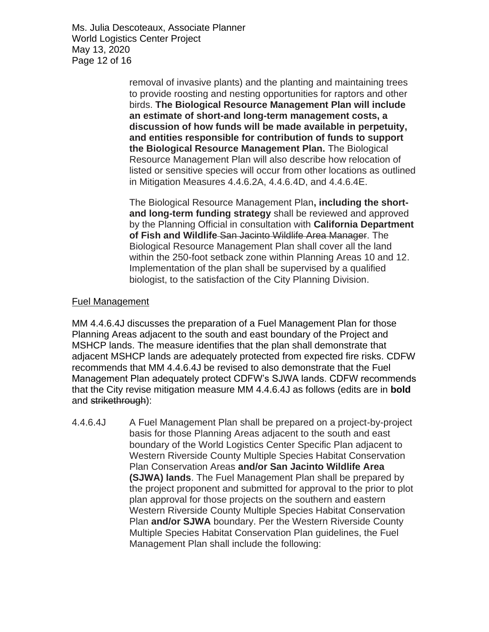Ms. Julia Descoteaux, Associate Planner World Logistics Center Project May 13, 2020 Page 12 of 16

> removal of invasive plants) and the planting and maintaining trees to provide roosting and nesting opportunities for raptors and other birds. **The Biological Resource Management Plan will include an estimate of short-and long-term management costs, a discussion of how funds will be made available in perpetuity, and entities responsible for contribution of funds to support the Biological Resource Management Plan.** The Biological Resource Management Plan will also describe how relocation of listed or sensitive species will occur from other locations as outlined in Mitigation Measures 4.4.6.2A, 4.4.6.4D, and 4.4.6.4E.

> The Biological Resource Management Plan**, including the shortand long-term funding strategy** shall be reviewed and approved by the Planning Official in consultation with **California Department of Fish and Wildlife** San Jacinto Wildlife Area Manager. The Biological Resource Management Plan shall cover all the land within the 250-foot setback zone within Planning Areas 10 and 12. Implementation of the plan shall be supervised by a qualified biologist, to the satisfaction of the City Planning Division.

### Fuel Management

MM 4.4.6.4J discusses the preparation of a Fuel Management Plan for those Planning Areas adjacent to the south and east boundary of the Project and MSHCP lands. The measure identifies that the plan shall demonstrate that adjacent MSHCP lands are adequately protected from expected fire risks. CDFW recommends that MM 4.4.6.4J be revised to also demonstrate that the Fuel Management Plan adequately protect CDFW's SJWA lands. CDFW recommends that the City revise mitigation measure MM 4.4.6.4J as follows (edits are in **bold** and strikethrough):

4.4.6.4J A Fuel Management Plan shall be prepared on a project-by-project basis for those Planning Areas adjacent to the south and east boundary of the World Logistics Center Specific Plan adjacent to Western Riverside County Multiple Species Habitat Conservation Plan Conservation Areas **and/or San Jacinto Wildlife Area (SJWA) lands**. The Fuel Management Plan shall be prepared by the project proponent and submitted for approval to the prior to plot plan approval for those projects on the southern and eastern Western Riverside County Multiple Species Habitat Conservation Plan **and/or SJWA** boundary. Per the Western Riverside County Multiple Species Habitat Conservation Plan guidelines, the Fuel Management Plan shall include the following: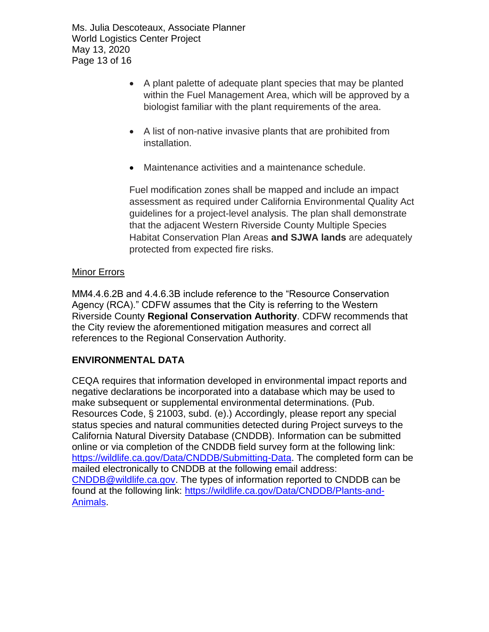Ms. Julia Descoteaux, Associate Planner World Logistics Center Project May 13, 2020 Page 13 of 16

- A plant palette of adequate plant species that may be planted within the Fuel Management Area, which will be approved by a biologist familiar with the plant requirements of the area.
- A list of non-native invasive plants that are prohibited from installation.
- Maintenance activities and a maintenance schedule.

Fuel modification zones shall be mapped and include an impact assessment as required under California Environmental Quality Act guidelines for a project-level analysis. The plan shall demonstrate that the adjacent Western Riverside County Multiple Species Habitat Conservation Plan Areas **and SJWA lands** are adequately protected from expected fire risks.

#### **Minor Errors**

MM4.4.6.2B and 4.4.6.3B include reference to the "Resource Conservation Agency (RCA)." CDFW assumes that the City is referring to the Western Riverside County **Regional Conservation Authority**. CDFW recommends that the City review the aforementioned mitigation measures and correct all references to the Regional Conservation Authority.

### **ENVIRONMENTAL DATA**

CEQA requires that information developed in environmental impact reports and negative declarations be incorporated into a database which may be used to make subsequent or supplemental environmental determinations. (Pub. Resources Code, § 21003, subd. (e).) Accordingly, please report any special status species and natural communities detected during Project surveys to the California Natural Diversity Database (CNDDB). Information can be submitted online or via completion of the CNDDB field survey form at the following link: [https://wildlife.ca.gov/Data/CNDDB/Submitting-Data.](https://wildlife.ca.gov/Data/CNDDB/Submitting-Data) The completed form can be mailed electronically to CNDDB at the following email address: [CNDDB@wildlife.ca.gov.](mailto:cnddb@dfg.ca.gov) The types of information reported to CNDDB can be found at the following link: [https://wildlife.ca.gov/Data/CNDDB/Plants-and-](https://wildlife.ca.gov/Data/CNDDB/Plants-and-Animals)[Animals.](https://wildlife.ca.gov/Data/CNDDB/Plants-and-Animals)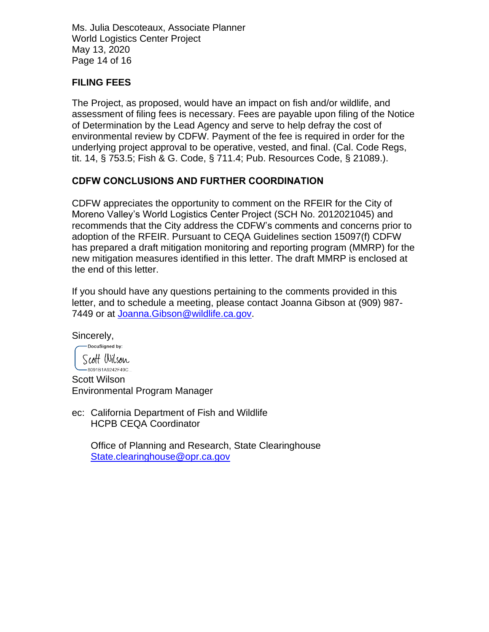Ms. Julia Descoteaux, Associate Planner World Logistics Center Project May 13, 2020 Page 14 of 16

### **FILING FEES**

The Project, as proposed, would have an impact on fish and/or wildlife, and assessment of filing fees is necessary. Fees are payable upon filing of the Notice of Determination by the Lead Agency and serve to help defray the cost of environmental review by CDFW. Payment of the fee is required in order for the underlying project approval to be operative, vested, and final. (Cal. Code Regs, tit. 14, § 753.5; Fish & G. Code, § 711.4; Pub. Resources Code, § 21089.).

### **CDFW CONCLUSIONS AND FURTHER COORDINATION**

CDFW appreciates the opportunity to comment on the RFEIR for the City of Moreno Valley's World Logistics Center Project (SCH No. 2012021045) and recommends that the City address the CDFW's comments and concerns prior to adoption of the RFEIR. Pursuant to CEQA Guidelines section 15097(f) CDFW has prepared a draft mitigation monitoring and reporting program (MMRP) for the new mitigation measures identified in this letter. The draft MMRP is enclosed at the end of this letter.

If you should have any questions pertaining to the comments provided in this letter, and to schedule a meeting, please contact Joanna Gibson at (909) 987- 7449 or at [Joanna.Gibson@wildlife.ca.gov.](mailto:Joanna.Gibson@wildlife.ca.gov)

Sincerely,

-DocuSigned by: Scott Wilson

—<br>8091B1A9242F49C... Scott Wilson Environmental Program Manager

ec: California Department of Fish and Wildlife HCPB CEQA Coordinator

Office of Planning and Research, State Clearinghouse [State.clearinghouse@opr.ca.gov](mailto:State.clearinghouse@opr.ca.gov)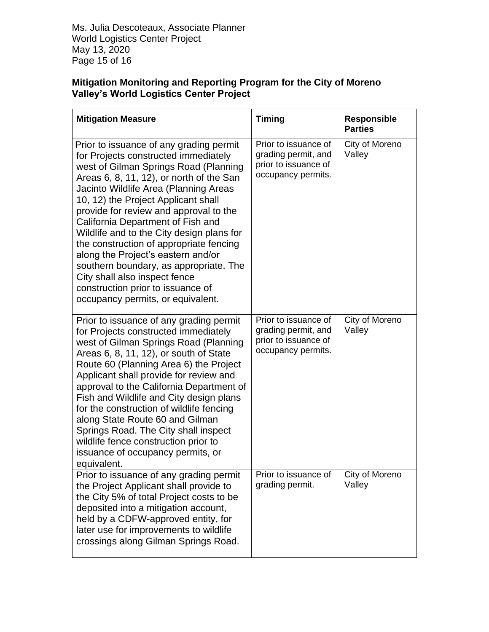Ms. Julia Descoteaux, Associate Planner World Logistics Center Project May 13, 2020 Page 15 of 16

### **Mitigation Monitoring and Reporting Program for the City of Moreno Valley's World Logistics Center Project**

| <b>Mitigation Measure</b>                                                                                                                                                                                                                                                                                                                                                                                                                                                                                                                                                                                                | <b>Timing</b>                                                                             | <b>Responsible</b><br><b>Parties</b> |
|--------------------------------------------------------------------------------------------------------------------------------------------------------------------------------------------------------------------------------------------------------------------------------------------------------------------------------------------------------------------------------------------------------------------------------------------------------------------------------------------------------------------------------------------------------------------------------------------------------------------------|-------------------------------------------------------------------------------------------|--------------------------------------|
| Prior to issuance of any grading permit<br>for Projects constructed immediately<br>west of Gilman Springs Road (Planning<br>Areas $6, 8, 11, 12$ , or north of the San<br>Jacinto Wildlife Area (Planning Areas<br>10, 12) the Project Applicant shall<br>provide for review and approval to the<br>California Department of Fish and<br>Wildlife and to the City design plans for<br>the construction of appropriate fencing<br>along the Project's eastern and/or<br>southern boundary, as appropriate. The<br>City shall also inspect fence<br>construction prior to issuance of<br>occupancy permits, or equivalent. | Prior to issuance of<br>grading permit, and<br>prior to issuance of<br>occupancy permits. | City of Moreno<br>Valley             |
| Prior to issuance of any grading permit<br>for Projects constructed immediately<br>west of Gilman Springs Road (Planning<br>Areas 6, 8, 11, 12), or south of State<br>Route 60 (Planning Area 6) the Project<br>Applicant shall provide for review and<br>approval to the California Department of<br>Fish and Wildlife and City design plans<br>for the construction of wildlife fencing<br>along State Route 60 and Gilman<br>Springs Road. The City shall inspect<br>wildlife fence construction prior to<br>issuance of occupancy permits, or<br>equivalent.                                                         | Prior to issuance of<br>grading permit, and<br>prior to issuance of<br>occupancy permits. | City of Moreno<br>Valley             |
| Prior to issuance of any grading permit<br>the Project Applicant shall provide to<br>the City 5% of total Project costs to be<br>deposited into a mitigation account,<br>held by a CDFW-approved entity, for<br>later use for improvements to wildlife<br>crossings along Gilman Springs Road.                                                                                                                                                                                                                                                                                                                           | Prior to issuance of<br>grading permit.                                                   | City of Moreno<br>Valley             |